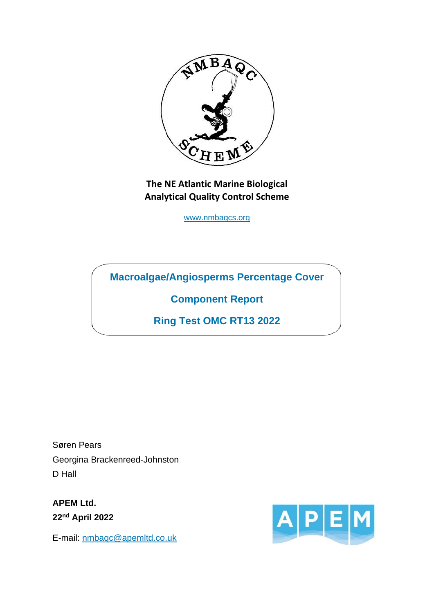

**The NE Atlantic Marine Biological Analytical Quality Control Scheme**

[www.nmbaqcs.org](http://www.nmbaqcs.org/)

**Macroalgae/Angiosperms Percentage Cover** 

**Component Report**

**Ring Test OMC RT13 2022**

Søren Pears Georgina Brackenreed-Johnston D Hall

**APEM Ltd. 22nd April 2022**

E-mail:<nmbaqc@apemltd.co.uk>

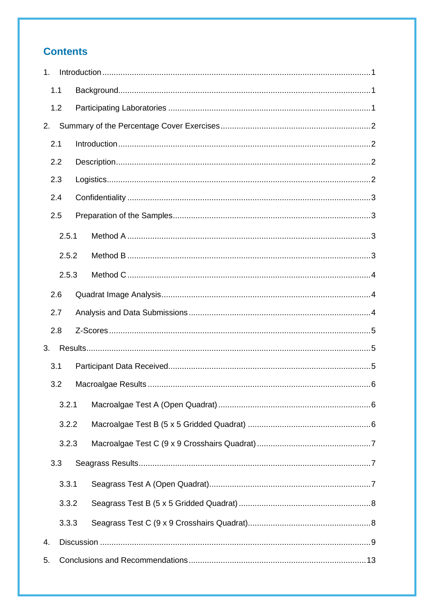# **Contents**

| 1.  |       |  |  |  |  |  |
|-----|-------|--|--|--|--|--|
| 1.1 |       |  |  |  |  |  |
|     | 1.2   |  |  |  |  |  |
| 2.  |       |  |  |  |  |  |
| 2.1 |       |  |  |  |  |  |
|     | 2.2   |  |  |  |  |  |
|     | 2.3   |  |  |  |  |  |
|     | 2.4   |  |  |  |  |  |
|     | 2.5   |  |  |  |  |  |
|     | 2.5.1 |  |  |  |  |  |
|     | 2.5.2 |  |  |  |  |  |
|     | 2.5.3 |  |  |  |  |  |
|     | 2.6   |  |  |  |  |  |
|     | 2.7   |  |  |  |  |  |
|     | 2.8   |  |  |  |  |  |
| 3.  |       |  |  |  |  |  |
| 3.1 |       |  |  |  |  |  |
|     | 3.2   |  |  |  |  |  |
|     | 3.2.1 |  |  |  |  |  |
|     | 3.2.2 |  |  |  |  |  |
|     | 3.2.3 |  |  |  |  |  |
|     | 3.3   |  |  |  |  |  |
|     | 3.3.1 |  |  |  |  |  |
|     | 3.3.2 |  |  |  |  |  |
|     | 3.3.3 |  |  |  |  |  |
| 4.  |       |  |  |  |  |  |
| 5.  |       |  |  |  |  |  |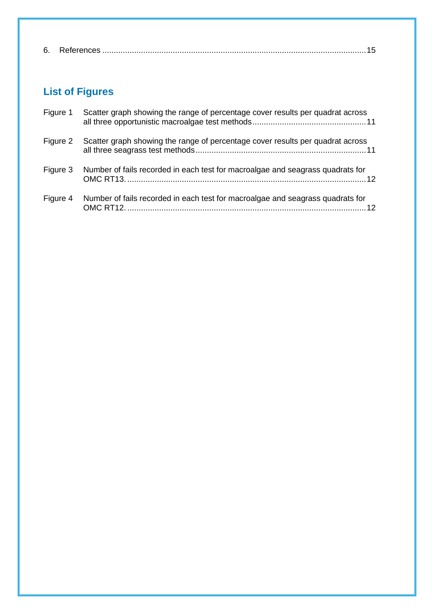|--|--|--|--|

# **List of Figures**

| Figure 1 | Scatter graph showing the range of percentage cover results per quadrat across |
|----------|--------------------------------------------------------------------------------|
| Figure 2 | Scatter graph showing the range of percentage cover results per quadrat across |
| Figure 3 | Number of fails recorded in each test for macroalgae and seagrass quadrats for |
| Figure 4 | Number of fails recorded in each test for macroalgae and seagrass quadrats for |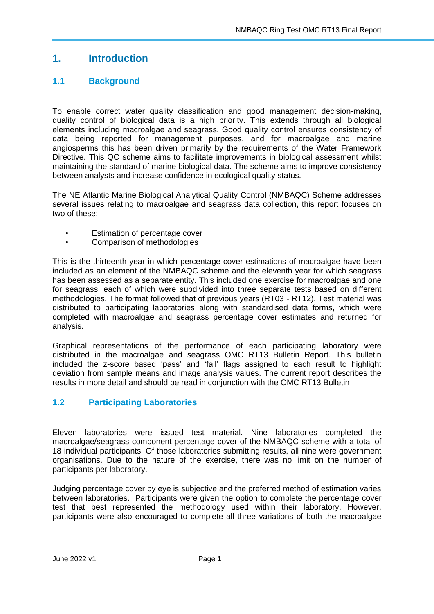# <span id="page-3-0"></span>**1. Introduction**

## <span id="page-3-1"></span>**1.1 Background**

To enable correct water quality classification and good management decision-making, quality control of biological data is a high priority. This extends through all biological elements including macroalgae and seagrass. Good quality control ensures consistency of data being reported for management purposes, and for macroalgae and marine angiosperms this has been driven primarily by the requirements of the Water Framework Directive. This QC scheme aims to facilitate improvements in biological assessment whilst maintaining the standard of marine biological data. The scheme aims to improve consistency between analysts and increase confidence in ecological quality status.

The NE Atlantic Marine Biological Analytical Quality Control (NMBAQC) Scheme addresses several issues relating to macroalgae and seagrass data collection, this report focuses on two of these:

- Estimation of percentage cover
- Comparison of methodologies

This is the thirteenth year in which percentage cover estimations of macroalgae have been included as an element of the NMBAQC scheme and the eleventh year for which seagrass has been assessed as a separate entity. This included one exercise for macroalgae and one for seagrass, each of which were subdivided into three separate tests based on different methodologies. The format followed that of previous years (RT03 - RT12). Test material was distributed to participating laboratories along with standardised data forms, which were completed with macroalgae and seagrass percentage cover estimates and returned for analysis.

Graphical representations of the performance of each participating laboratory were distributed in the macroalgae and seagrass OMC RT13 Bulletin Report. This bulletin included the z-score based 'pass' and 'fail' flags assigned to each result to highlight deviation from sample means and image analysis values. The current report describes the results in more detail and should be read in conjunction with the OMC RT13 Bulletin

## <span id="page-3-2"></span>**1.2 Participating Laboratories**

Eleven laboratories were issued test material. Nine laboratories completed the macroalgae/seagrass component percentage cover of the NMBAQC scheme with a total of 18 individual participants. Of those laboratories submitting results, all nine were government organisations. Due to the nature of the exercise, there was no limit on the number of participants per laboratory.

Judging percentage cover by eye is subjective and the preferred method of estimation varies between laboratories. Participants were given the option to complete the percentage cover test that best represented the methodology used within their laboratory. However, participants were also encouraged to complete all three variations of both the macroalgae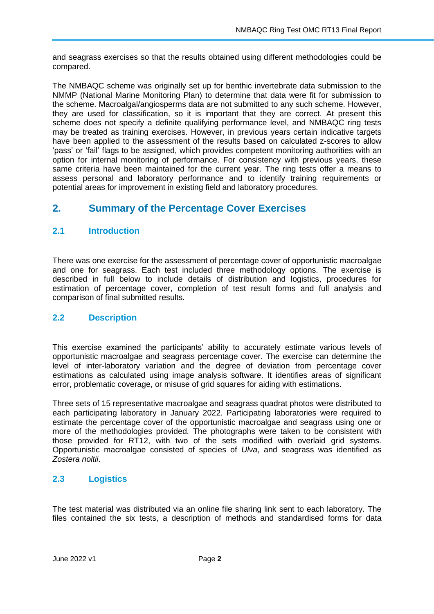and seagrass exercises so that the results obtained using different methodologies could be compared.

The NMBAQC scheme was originally set up for benthic invertebrate data submission to the NMMP (National Marine Monitoring Plan) to determine that data were fit for submission to the scheme. Macroalgal/angiosperms data are not submitted to any such scheme. However, they are used for classification, so it is important that they are correct. At present this scheme does not specify a definite qualifying performance level, and NMBAQC ring tests may be treated as training exercises. However, in previous years certain indicative targets have been applied to the assessment of the results based on calculated z-scores to allow 'pass' or 'fail' flags to be assigned, which provides competent monitoring authorities with an option for internal monitoring of performance. For consistency with previous years, these same criteria have been maintained for the current year. The ring tests offer a means to assess personal and laboratory performance and to identify training requirements or potential areas for improvement in existing field and laboratory procedures.

# <span id="page-4-0"></span>**2. Summary of the Percentage Cover Exercises**

#### <span id="page-4-1"></span>**2.1 Introduction**

There was one exercise for the assessment of percentage cover of opportunistic macroalgae and one for seagrass. Each test included three methodology options. The exercise is described in full below to include details of distribution and logistics, procedures for estimation of percentage cover, completion of test result forms and full analysis and comparison of final submitted results.

#### <span id="page-4-2"></span>**2.2 Description**

This exercise examined the participants' ability to accurately estimate various levels of opportunistic macroalgae and seagrass percentage cover. The exercise can determine the level of inter-laboratory variation and the degree of deviation from percentage cover estimations as calculated using image analysis software. It identifies areas of significant error, problematic coverage, or misuse of grid squares for aiding with estimations.

Three sets of 15 representative macroalgae and seagrass quadrat photos were distributed to each participating laboratory in January 2022. Participating laboratories were required to estimate the percentage cover of the opportunistic macroalgae and seagrass using one or more of the methodologies provided. The photographs were taken to be consistent with those provided for RT12, with two of the sets modified with overlaid grid systems. Opportunistic macroalgae consisted of species of *Ulva*, and seagrass was identified as *Zostera noltii*.

#### <span id="page-4-3"></span>**2.3 Logistics**

The test material was distributed via an online file sharing link sent to each laboratory. The files contained the six tests, a description of methods and standardised forms for data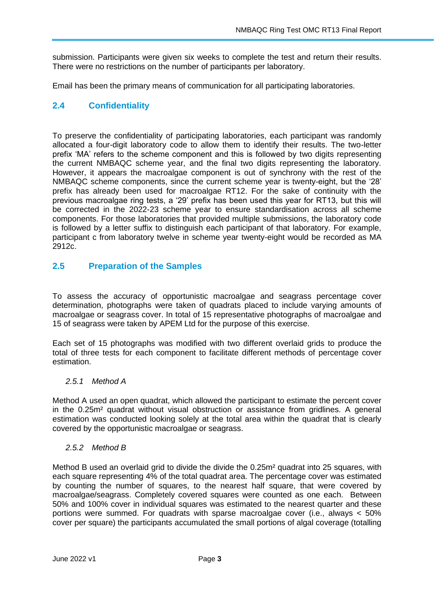submission. Participants were given six weeks to complete the test and return their results. There were no restrictions on the number of participants per laboratory.

Email has been the primary means of communication for all participating laboratories.

#### <span id="page-5-0"></span>**2.4 Confidentiality**

To preserve the confidentiality of participating laboratories, each participant was randomly allocated a four-digit laboratory code to allow them to identify their results. The two-letter prefix 'MA' refers to the scheme component and this is followed by two digits representing the current NMBAQC scheme year, and the final two digits representing the laboratory. However, it appears the macroalgae component is out of synchrony with the rest of the NMBAQC scheme components, since the current scheme year is twenty-eight, but the '28' prefix has already been used for macroalgae RT12. For the sake of continuity with the previous macroalgae ring tests, a '29' prefix has been used this year for RT13, but this will be corrected in the 2022-23 scheme year to ensure standardisation across all scheme components. For those laboratories that provided multiple submissions, the laboratory code is followed by a letter suffix to distinguish each participant of that laboratory. For example, participant c from laboratory twelve in scheme year twenty-eight would be recorded as MA 2912c.

#### <span id="page-5-1"></span>**2.5 Preparation of the Samples**

To assess the accuracy of opportunistic macroalgae and seagrass percentage cover determination, photographs were taken of quadrats placed to include varying amounts of macroalgae or seagrass cover. In total of 15 representative photographs of macroalgae and 15 of seagrass were taken by APEM Ltd for the purpose of this exercise.

Each set of 15 photographs was modified with two different overlaid grids to produce the total of three tests for each component to facilitate different methods of percentage cover estimation.

#### <span id="page-5-2"></span>*2.5.1 Method A*

Method A used an open quadrat, which allowed the participant to estimate the percent cover in the 0.25m² quadrat without visual obstruction or assistance from gridlines. A general estimation was conducted looking solely at the total area within the quadrat that is clearly covered by the opportunistic macroalgae or seagrass.

#### <span id="page-5-3"></span>*2.5.2 Method B*

Method B used an overlaid grid to divide the divide the 0.25m<sup>2</sup> quadrat into 25 squares, with each square representing 4% of the total quadrat area. The percentage cover was estimated by counting the number of squares, to the nearest half square, that were covered by macroalgae/seagrass. Completely covered squares were counted as one each. Between 50% and 100% cover in individual squares was estimated to the nearest quarter and these portions were summed. For quadrats with sparse macroalgae cover (i.e., always < 50% cover per square) the participants accumulated the small portions of algal coverage (totalling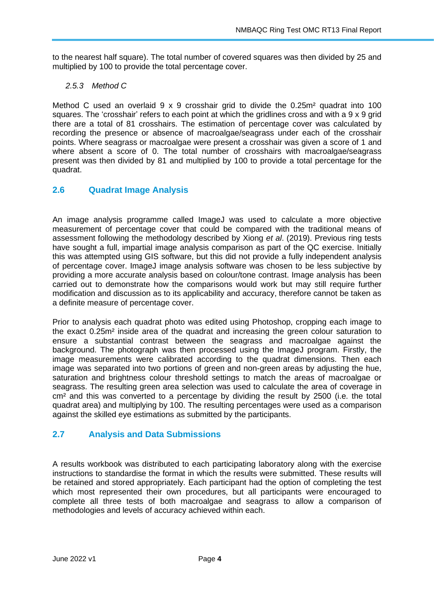to the nearest half square). The total number of covered squares was then divided by 25 and multiplied by 100 to provide the total percentage cover.

#### <span id="page-6-0"></span>*2.5.3 Method C*

Method C used an overlaid  $9 \times 9$  crosshair grid to divide the 0.25 $m<sup>2</sup>$  quadrat into 100 squares. The 'crosshair' refers to each point at which the gridlines cross and with a 9 x 9 grid there are a total of 81 crosshairs. The estimation of percentage cover was calculated by recording the presence or absence of macroalgae/seagrass under each of the crosshair points. Where seagrass or macroalgae were present a crosshair was given a score of 1 and where absent a score of 0. The total number of crosshairs with macroalgae/seagrass present was then divided by 81 and multiplied by 100 to provide a total percentage for the quadrat.

## <span id="page-6-1"></span>**2.6 Quadrat Image Analysis**

An image analysis programme called ImageJ was used to calculate a more objective measurement of percentage cover that could be compared with the traditional means of assessment following the methodology described by Xiong *et al*. (2019). Previous ring tests have sought a full, impartial image analysis comparison as part of the QC exercise. Initially this was attempted using GIS software, but this did not provide a fully independent analysis of percentage cover. ImageJ image analysis software was chosen to be less subjective by providing a more accurate analysis based on colour/tone contrast. Image analysis has been carried out to demonstrate how the comparisons would work but may still require further modification and discussion as to its applicability and accuracy, therefore cannot be taken as a definite measure of percentage cover.

Prior to analysis each quadrat photo was edited using Photoshop, cropping each image to the exact 0.25m² inside area of the quadrat and increasing the green colour saturation to ensure a substantial contrast between the seagrass and macroalgae against the background. The photograph was then processed using the ImageJ program. Firstly, the image measurements were calibrated according to the quadrat dimensions. Then each image was separated into two portions of green and non-green areas by adjusting the hue, saturation and brightness colour threshold settings to match the areas of macroalgae or seagrass. The resulting green area selection was used to calculate the area of coverage in cm<sup>2</sup> and this was converted to a percentage by dividing the result by 2500 (i.e. the total quadrat area) and multiplying by 100. The resulting percentages were used as a comparison against the skilled eye estimations as submitted by the participants.

#### <span id="page-6-2"></span>**2.7 Analysis and Data Submissions**

A results workbook was distributed to each participating laboratory along with the exercise instructions to standardise the format in which the results were submitted. These results will be retained and stored appropriately. Each participant had the option of completing the test which most represented their own procedures, but all participants were encouraged to complete all three tests of both macroalgae and seagrass to allow a comparison of methodologies and levels of accuracy achieved within each.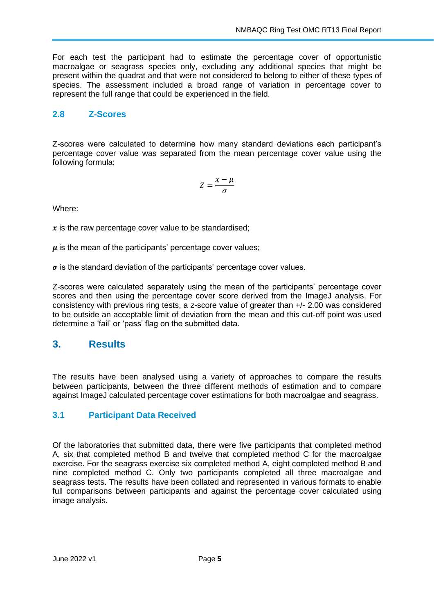For each test the participant had to estimate the percentage cover of opportunistic macroalgae or seagrass species only, excluding any additional species that might be present within the quadrat and that were not considered to belong to either of these types of species. The assessment included a broad range of variation in percentage cover to represent the full range that could be experienced in the field.

## <span id="page-7-0"></span>**2.8 Z-Scores**

Z-scores were calculated to determine how many standard deviations each participant's percentage cover value was separated from the mean percentage cover value using the following formula:

$$
Z=\frac{x-\mu}{\sigma}
$$

Where:

 $x$  is the raw percentage cover value to be standardised;

 $\mu$  is the mean of the participants' percentage cover values;

 $\sigma$  is the standard deviation of the participants' percentage cover values.

Z-scores were calculated separately using the mean of the participants' percentage cover scores and then using the percentage cover score derived from the ImageJ analysis. For consistency with previous ring tests, a z-score value of greater than +/- 2.00 was considered to be outside an acceptable limit of deviation from the mean and this cut-off point was used determine a 'fail' or 'pass' flag on the submitted data.

# <span id="page-7-1"></span>**3. Results**

The results have been analysed using a variety of approaches to compare the results between participants, between the three different methods of estimation and to compare against ImageJ calculated percentage cover estimations for both macroalgae and seagrass.

## <span id="page-7-2"></span>**3.1 Participant Data Received**

Of the laboratories that submitted data, there were five participants that completed method A, six that completed method B and twelve that completed method C for the macroalgae exercise. For the seagrass exercise six completed method A, eight completed method B and nine completed method C. Only two participants completed all three macroalgae and seagrass tests. The results have been collated and represented in various formats to enable full comparisons between participants and against the percentage cover calculated using image analysis.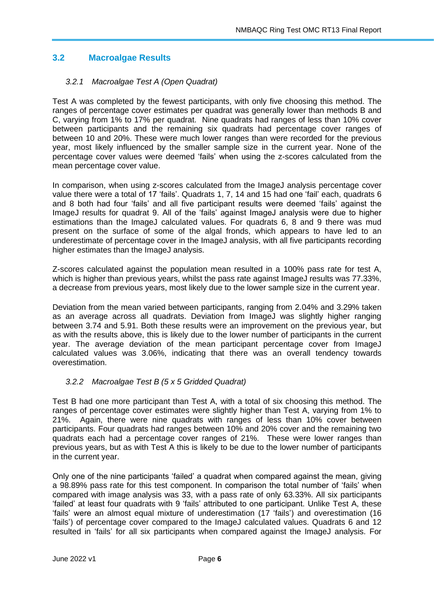## <span id="page-8-0"></span>**3.2 Macroalgae Results**

#### <span id="page-8-1"></span>*3.2.1 Macroalgae Test A (Open Quadrat)*

Test A was completed by the fewest participants, with only five choosing this method. The ranges of percentage cover estimates per quadrat was generally lower than methods B and C, varying from 1% to 17% per quadrat. Nine quadrats had ranges of less than 10% cover between participants and the remaining six quadrats had percentage cover ranges of between 10 and 20%. These were much lower ranges than were recorded for the previous year, most likely influenced by the smaller sample size in the current year. None of the percentage cover values were deemed 'fails' when using the z-scores calculated from the mean percentage cover value.

In comparison, when using z-scores calculated from the ImageJ analysis percentage cover value there were a total of 17 'fails'. Quadrats 1, 7, 14 and 15 had one 'fail' each, quadrats 6 and 8 both had four 'fails' and all five participant results were deemed 'fails' against the ImageJ results for quadrat 9. All of the 'fails' against ImageJ analysis were due to higher estimations than the ImageJ calculated values. For quadrats 6, 8 and 9 there was mud present on the surface of some of the algal fronds, which appears to have led to an underestimate of percentage cover in the ImageJ analysis, with all five participants recording higher estimates than the ImageJ analysis.

Z-scores calculated against the population mean resulted in a 100% pass rate for test A, which is higher than previous years, whilst the pass rate against Image J results was 77.33%. a decrease from previous years, most likely due to the lower sample size in the current year.

Deviation from the mean varied between participants, ranging from 2.04% and 3.29% taken as an average across all quadrats. Deviation from ImageJ was slightly higher ranging between 3.74 and 5.91. Both these results were an improvement on the previous year, but as with the results above, this is likely due to the lower number of participants in the current year. The average deviation of the mean participant percentage cover from ImageJ calculated values was 3.06%, indicating that there was an overall tendency towards overestimation.

#### <span id="page-8-2"></span>*3.2.2 Macroalgae Test B (5 x 5 Gridded Quadrat)*

Test B had one more participant than Test A, with a total of six choosing this method. The ranges of percentage cover estimates were slightly higher than Test A, varying from 1% to 21%. Again, there were nine quadrats with ranges of less than 10% cover between participants. Four quadrats had ranges between 10% and 20% cover and the remaining two quadrats each had a percentage cover ranges of 21%. These were lower ranges than previous years, but as with Test A this is likely to be due to the lower number of participants in the current year.

Only one of the nine participants 'failed' a quadrat when compared against the mean, giving a 98.89% pass rate for this test component. In comparison the total number of 'fails' when compared with image analysis was 33, with a pass rate of only 63.33%. All six participants 'failed' at least four quadrats with 9 'fails' attributed to one participant. Unlike Test A, these 'fails' were an almost equal mixture of underestimation (17 'fails') and overestimation (16 'fails') of percentage cover compared to the ImageJ calculated values. Quadrats 6 and 12 resulted in 'fails' for all six participants when compared against the ImageJ analysis. For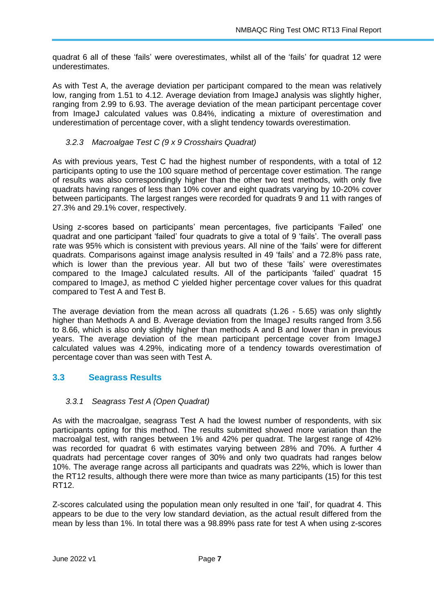quadrat 6 all of these 'fails' were overestimates, whilst all of the 'fails' for quadrat 12 were underestimates.

As with Test A, the average deviation per participant compared to the mean was relatively low, ranging from 1.51 to 4.12. Average deviation from ImageJ analysis was slightly higher, ranging from 2.99 to 6.93. The average deviation of the mean participant percentage cover from ImageJ calculated values was 0.84%, indicating a mixture of overestimation and underestimation of percentage cover, with a slight tendency towards overestimation.

#### <span id="page-9-0"></span>*3.2.3 Macroalgae Test C (9 x 9 Crosshairs Quadrat)*

As with previous years, Test C had the highest number of respondents, with a total of 12 participants opting to use the 100 square method of percentage cover estimation. The range of results was also correspondingly higher than the other two test methods, with only five quadrats having ranges of less than 10% cover and eight quadrats varying by 10-20% cover between participants. The largest ranges were recorded for quadrats 9 and 11 with ranges of 27.3% and 29.1% cover, respectively.

Using z-scores based on participants' mean percentages, five participants 'Failed' one quadrat and one participant 'failed' four quadrats to give a total of 9 'fails'. The overall pass rate was 95% which is consistent with previous years. All nine of the 'fails' were for different quadrats. Comparisons against image analysis resulted in 49 'fails' and a 72.8% pass rate, which is lower than the previous year. All but two of these 'fails' were overestimates compared to the ImageJ calculated results. All of the participants 'failed' quadrat 15 compared to ImageJ, as method C yielded higher percentage cover values for this quadrat compared to Test A and Test B.

The average deviation from the mean across all quadrats (1.26 - 5.65) was only slightly higher than Methods A and B. Average deviation from the ImageJ results ranged from 3.56 to 8.66, which is also only slightly higher than methods A and B and lower than in previous years. The average deviation of the mean participant percentage cover from ImageJ calculated values was 4.29%, indicating more of a tendency towards overestimation of percentage cover than was seen with Test A.

#### <span id="page-9-1"></span>**3.3 Seagrass Results**

#### <span id="page-9-2"></span>*3.3.1 Seagrass Test A (Open Quadrat)*

As with the macroalgae, seagrass Test A had the lowest number of respondents, with six participants opting for this method. The results submitted showed more variation than the macroalgal test, with ranges between 1% and 42% per quadrat. The largest range of 42% was recorded for quadrat 6 with estimates varying between 28% and 70%. A further 4 quadrats had percentage cover ranges of 30% and only two quadrats had ranges below 10%. The average range across all participants and quadrats was 22%, which is lower than the RT12 results, although there were more than twice as many participants (15) for this test RT12.

Z-scores calculated using the population mean only resulted in one 'fail', for quadrat 4. This appears to be due to the very low standard deviation, as the actual result differed from the mean by less than 1%. In total there was a 98.89% pass rate for test A when using z-scores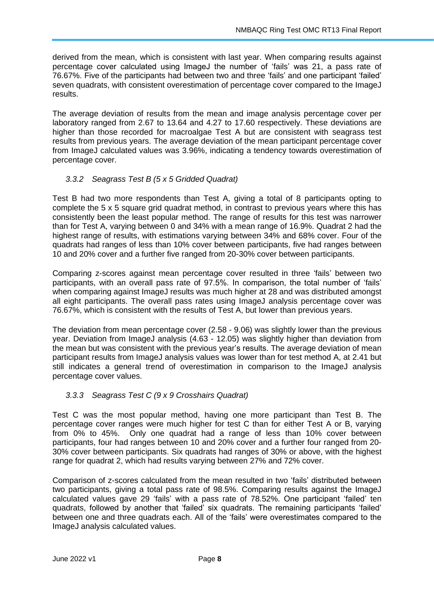derived from the mean, which is consistent with last year. When comparing results against percentage cover calculated using ImageJ the number of 'fails' was 21, a pass rate of 76.67%. Five of the participants had between two and three 'fails' and one participant 'failed' seven quadrats, with consistent overestimation of percentage cover compared to the ImageJ results.

The average deviation of results from the mean and image analysis percentage cover per laboratory ranged from 2.67 to 13.64 and 4.27 to 17.60 respectively. These deviations are higher than those recorded for macroalgae Test A but are consistent with seagrass test results from previous years. The average deviation of the mean participant percentage cover from ImageJ calculated values was 3.96%, indicating a tendency towards overestimation of percentage cover.

#### <span id="page-10-0"></span>*3.3.2 Seagrass Test B (5 x 5 Gridded Quadrat)*

Test B had two more respondents than Test A, giving a total of 8 participants opting to complete the 5 x 5 square grid quadrat method, in contrast to previous years where this has consistently been the least popular method. The range of results for this test was narrower than for Test A, varying between 0 and 34% with a mean range of 16.9%. Quadrat 2 had the highest range of results, with estimations varying between 34% and 68% cover. Four of the quadrats had ranges of less than 10% cover between participants, five had ranges between 10 and 20% cover and a further five ranged from 20-30% cover between participants.

Comparing z-scores against mean percentage cover resulted in three 'fails' between two participants, with an overall pass rate of 97.5%. In comparison, the total number of 'fails' when comparing against ImageJ results was much higher at 28 and was distributed amongst all eight participants. The overall pass rates using ImageJ analysis percentage cover was 76.67%, which is consistent with the results of Test A, but lower than previous years.

The deviation from mean percentage cover (2.58 - 9.06) was slightly lower than the previous year. Deviation from ImageJ analysis (4.63 - 12.05) was slightly higher than deviation from the mean but was consistent with the previous year's results. The average deviation of mean participant results from ImageJ analysis values was lower than for test method A, at 2.41 but still indicates a general trend of overestimation in comparison to the ImageJ analysis percentage cover values.

#### <span id="page-10-1"></span>*3.3.3 Seagrass Test C (9 x 9 Crosshairs Quadrat)*

Test C was the most popular method, having one more participant than Test B. The percentage cover ranges were much higher for test C than for either Test A or B, varying from 0% to 45%. Only one quadrat had a range of less than 10% cover between participants, four had ranges between 10 and 20% cover and a further four ranged from 20- 30% cover between participants. Six quadrats had ranges of 30% or above, with the highest range for quadrat 2, which had results varying between 27% and 72% cover.

Comparison of z-scores calculated from the mean resulted in two 'fails' distributed between two participants, giving a total pass rate of 98.5%. Comparing results against the ImageJ calculated values gave 29 'fails' with a pass rate of 78.52%. One participant 'failed' ten quadrats, followed by another that 'failed' six quadrats. The remaining participants 'failed' between one and three quadrats each. All of the 'fails' were overestimates compared to the ImageJ analysis calculated values.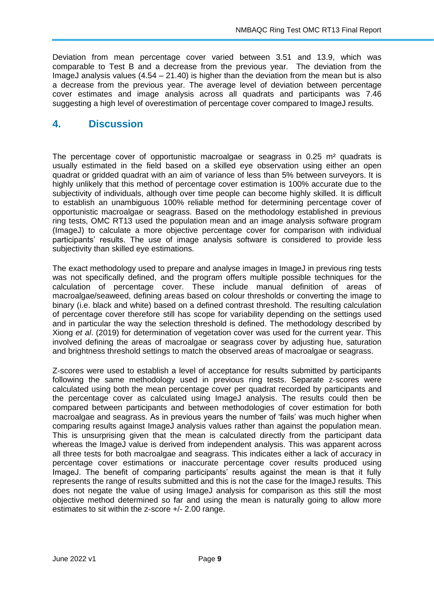Deviation from mean percentage cover varied between 3.51 and 13.9, which was comparable to Test B and a decrease from the previous year. The deviation from the ImageJ analysis values  $(4.54 - 21.40)$  is higher than the deviation from the mean but is also a decrease from the previous year. The average level of deviation between percentage cover estimates and image analysis across all quadrats and participants was 7.46 suggesting a high level of overestimation of percentage cover compared to ImageJ results.

## <span id="page-11-0"></span>**4. Discussion**

The percentage cover of opportunistic macroalgae or seagrass in 0.25 m<sup>2</sup> quadrats is usually estimated in the field based on a skilled eye observation using either an open quadrat or gridded quadrat with an aim of variance of less than 5% between surveyors. It is highly unlikely that this method of percentage cover estimation is 100% accurate due to the subjectivity of individuals, although over time people can become highly skilled. It is difficult to establish an unambiguous 100% reliable method for determining percentage cover of opportunistic macroalgae or seagrass. Based on the methodology established in previous ring tests, OMC RT13 used the population mean and an image analysis software program (ImageJ) to calculate a more objective percentage cover for comparison with individual participants' results. The use of image analysis software is considered to provide less subjectivity than skilled eye estimations.

The exact methodology used to prepare and analyse images in ImageJ in previous ring tests was not specifically defined, and the program offers multiple possible techniques for the calculation of percentage cover. These include manual definition of areas of macroalgae/seaweed, defining areas based on colour thresholds or converting the image to binary (i.e. black and white) based on a defined contrast threshold. The resulting calculation of percentage cover therefore still has scope for variability depending on the settings used and in particular the way the selection threshold is defined. The methodology described by Xiong *et al*. (2019) for determination of vegetation cover was used for the current year. This involved defining the areas of macroalgae or seagrass cover by adjusting hue, saturation and brightness threshold settings to match the observed areas of macroalgae or seagrass.

Z-scores were used to establish a level of acceptance for results submitted by participants following the same methodology used in previous ring tests. Separate z-scores were calculated using both the mean percentage cover per quadrat recorded by participants and the percentage cover as calculated using ImageJ analysis. The results could then be compared between participants and between methodologies of cover estimation for both macroalgae and seagrass. As in previous years the number of 'fails' was much higher when comparing results against ImageJ analysis values rather than against the population mean. This is unsurprising given that the mean is calculated directly from the participant data whereas the ImageJ value is derived from independent analysis. This was apparent across all three tests for both macroalgae and seagrass. This indicates either a lack of accuracy in percentage cover estimations or inaccurate percentage cover results produced using ImageJ. The benefit of comparing participants' results against the mean is that it fully represents the range of results submitted and this is not the case for the ImageJ results. This does not negate the value of using ImageJ analysis for comparison as this still the most objective method determined so far and using the mean is naturally going to allow more estimates to sit within the z-score +/- 2.00 range.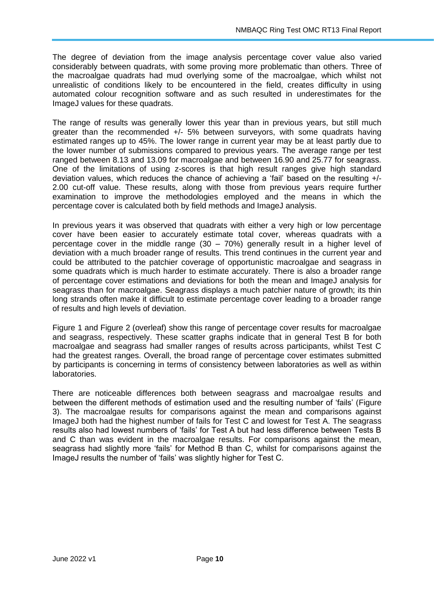The degree of deviation from the image analysis percentage cover value also varied considerably between quadrats, with some proving more problematic than others. Three of the macroalgae quadrats had mud overlying some of the macroalgae, which whilst not unrealistic of conditions likely to be encountered in the field, creates difficulty in using automated colour recognition software and as such resulted in underestimates for the ImageJ values for these quadrats.

The range of results was generally lower this year than in previous years, but still much greater than the recommended +/- 5% between surveyors, with some quadrats having estimated ranges up to 45%. The lower range in current year may be at least partly due to the lower number of submissions compared to previous years. The average range per test ranged between 8.13 and 13.09 for macroalgae and between 16.90 and 25.77 for seagrass. One of the limitations of using z-scores is that high result ranges give high standard deviation values, which reduces the chance of achieving a 'fail' based on the resulting +/- 2.00 cut-off value. These results, along with those from previous years require further examination to improve the methodologies employed and the means in which the percentage cover is calculated both by field methods and ImageJ analysis.

In previous years it was observed that quadrats with either a very high or low percentage cover have been easier to accurately estimate total cover, whereas quadrats with a percentage cover in the middle range  $(30 - 70%)$  generally result in a higher level of deviation with a much broader range of results. This trend continues in the current year and could be attributed to the patchier coverage of opportunistic macroalgae and seagrass in some quadrats which is much harder to estimate accurately. There is also a broader range of percentage cover estimations and deviations for both the mean and ImageJ analysis for seagrass than for macroalgae. Seagrass displays a much patchier nature of growth; its thin long strands often make it difficult to estimate percentage cover leading to a broader range of results and high levels of deviation.

[Figure 1](#page-13-0) and [Figure 2](#page-13-1) (overleaf) show this range of percentage cover results for macroalgae and seagrass, respectively. These scatter graphs indicate that in general Test B for both macroalgae and seagrass had smaller ranges of results across participants, whilst Test C had the greatest ranges. Overall, the broad range of percentage cover estimates submitted by participants is concerning in terms of consistency between laboratories as well as within laboratories.

There are noticeable differences both between seagrass and macroalgae results and between the different methods of estimation used and the resulting number of 'fails' [\(Figure](#page-14-0)  [3\)](#page-14-0). The macroalgae results for comparisons against the mean and comparisons against ImageJ both had the highest number of fails for Test C and lowest for Test A. The seagrass results also had lowest numbers of 'fails' for Test A but had less difference between Tests B and C than was evident in the macroalgae results. For comparisons against the mean, seagrass had slightly more 'fails' for Method B than C, whilst for comparisons against the ImageJ results the number of 'fails' was slightly higher for Test C.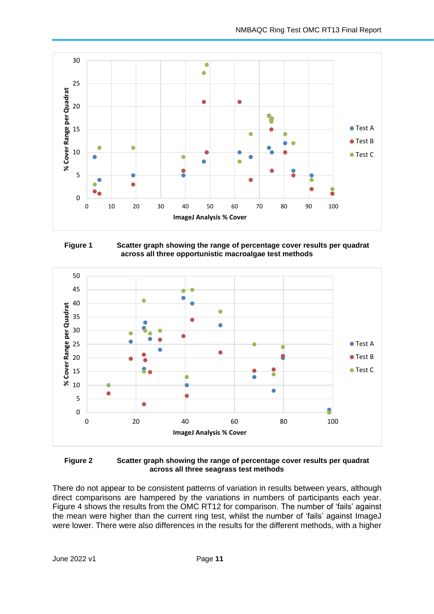

<span id="page-13-0"></span>



<span id="page-13-1"></span>

There do not appear to be consistent patterns of variation in results between years, although direct comparisons are hampered by the variations in numbers of participants each year. [Figure 4](#page-14-1) shows the results from the OMC RT12 for comparison. The number of 'fails' against the mean were higher than the current ring test, whilst the number of 'fails' against ImageJ were lower. There were also differences in the results for the different methods, with a higher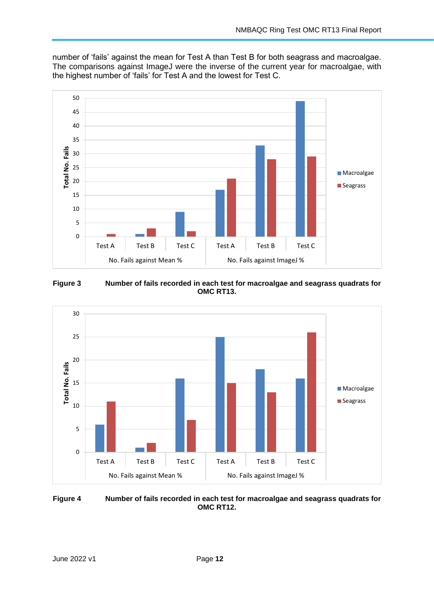number of 'fails' against the mean for Test A than Test B for both seagrass and macroalgae. The comparisons against ImageJ were the inverse of the current year for macroalgae, with the highest number of 'fails' for Test A and the lowest for Test C.



<span id="page-14-0"></span>**Figure 3 Number of fails recorded in each test for macroalgae and seagrass quadrats for OMC RT13.**



<span id="page-14-1"></span>**Figure 4 Number of fails recorded in each test for macroalgae and seagrass quadrats for OMC RT12.**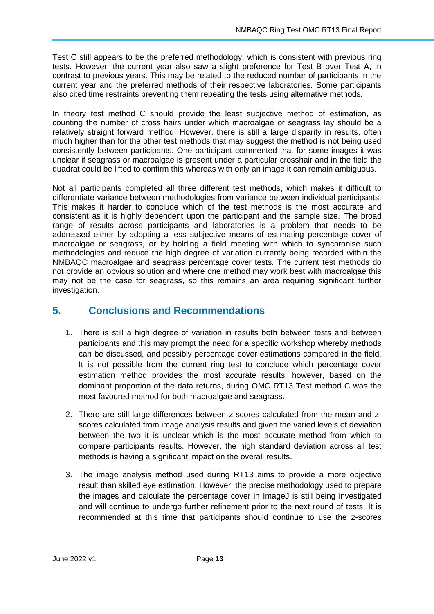Test C still appears to be the preferred methodology, which is consistent with previous ring tests. However, the current year also saw a slight preference for Test B over Test A, in contrast to previous years. This may be related to the reduced number of participants in the current year and the preferred methods of their respective laboratories. Some participants also cited time restraints preventing them repeating the tests using alternative methods.

In theory test method C should provide the least subjective method of estimation, as counting the number of cross hairs under which macroalgae or seagrass lay should be a relatively straight forward method. However, there is still a large disparity in results, often much higher than for the other test methods that may suggest the method is not being used consistently between participants. One participant commented that for some images it was unclear if seagrass or macroalgae is present under a particular crosshair and in the field the quadrat could be lifted to confirm this whereas with only an image it can remain ambiguous.

Not all participants completed all three different test methods, which makes it difficult to differentiate variance between methodologies from variance between individual participants. This makes it harder to conclude which of the test methods is the most accurate and consistent as it is highly dependent upon the participant and the sample size. The broad range of results across participants and laboratories is a problem that needs to be addressed either by adopting a less subjective means of estimating percentage cover of macroalgae or seagrass, or by holding a field meeting with which to synchronise such methodologies and reduce the high degree of variation currently being recorded within the NMBAQC macroalgae and seagrass percentage cover tests. The current test methods do not provide an obvious solution and where one method may work best with macroalgae this may not be the case for seagrass, so this remains an area requiring significant further investigation.

# <span id="page-15-0"></span>**5. Conclusions and Recommendations**

- 1. There is still a high degree of variation in results both between tests and between participants and this may prompt the need for a specific workshop whereby methods can be discussed, and possibly percentage cover estimations compared in the field. It is not possible from the current ring test to conclude which percentage cover estimation method provides the most accurate results; however, based on the dominant proportion of the data returns, during OMC RT13 Test method C was the most favoured method for both macroalgae and seagrass.
- 2. There are still large differences between z-scores calculated from the mean and zscores calculated from image analysis results and given the varied levels of deviation between the two it is unclear which is the most accurate method from which to compare participants results. However, the high standard deviation across all test methods is having a significant impact on the overall results.
- 3. The image analysis method used during RT13 aims to provide a more objective result than skilled eye estimation. However, the precise methodology used to prepare the images and calculate the percentage cover in ImageJ is still being investigated and will continue to undergo further refinement prior to the next round of tests. It is recommended at this time that participants should continue to use the z-scores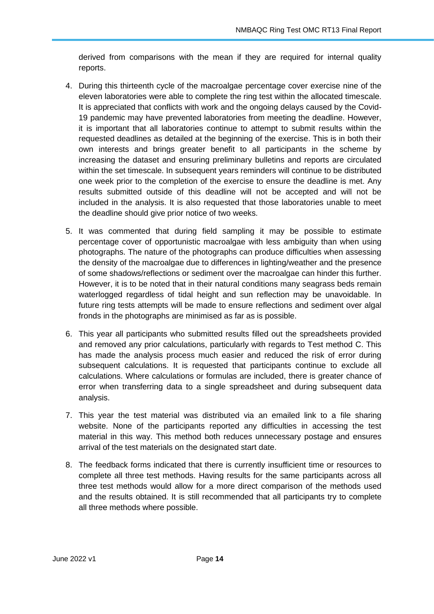derived from comparisons with the mean if they are required for internal quality reports.

- 4. During this thirteenth cycle of the macroalgae percentage cover exercise nine of the eleven laboratories were able to complete the ring test within the allocated timescale. It is appreciated that conflicts with work and the ongoing delays caused by the Covid-19 pandemic may have prevented laboratories from meeting the deadline. However, it is important that all laboratories continue to attempt to submit results within the requested deadlines as detailed at the beginning of the exercise. This is in both their own interests and brings greater benefit to all participants in the scheme by increasing the dataset and ensuring preliminary bulletins and reports are circulated within the set timescale. In subsequent years reminders will continue to be distributed one week prior to the completion of the exercise to ensure the deadline is met. Any results submitted outside of this deadline will not be accepted and will not be included in the analysis. It is also requested that those laboratories unable to meet the deadline should give prior notice of two weeks.
- 5. It was commented that during field sampling it may be possible to estimate percentage cover of opportunistic macroalgae with less ambiguity than when using photographs. The nature of the photographs can produce difficulties when assessing the density of the macroalgae due to differences in lighting/weather and the presence of some shadows/reflections or sediment over the macroalgae can hinder this further. However, it is to be noted that in their natural conditions many seagrass beds remain waterlogged regardless of tidal height and sun reflection may be unavoidable. In future ring tests attempts will be made to ensure reflections and sediment over algal fronds in the photographs are minimised as far as is possible.
- 6. This year all participants who submitted results filled out the spreadsheets provided and removed any prior calculations, particularly with regards to Test method C. This has made the analysis process much easier and reduced the risk of error during subsequent calculations. It is requested that participants continue to exclude all calculations. Where calculations or formulas are included, there is greater chance of error when transferring data to a single spreadsheet and during subsequent data analysis.
- 7. This year the test material was distributed via an emailed link to a file sharing website. None of the participants reported any difficulties in accessing the test material in this way. This method both reduces unnecessary postage and ensures arrival of the test materials on the designated start date.
- 8. The feedback forms indicated that there is currently insufficient time or resources to complete all three test methods. Having results for the same participants across all three test methods would allow for a more direct comparison of the methods used and the results obtained. It is still recommended that all participants try to complete all three methods where possible.